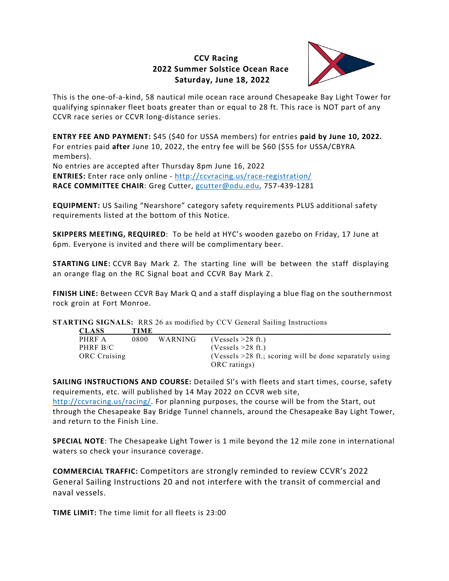## **CCV Racing 2022 Summer Solstice Ocean Race Saturday, June 18, 2022**



This is the one-of-a-kind, 58 nautical mile ocean race around Chesapeake Bay Light Tower for qualifying spinnaker fleet boats greater than or equal to 28 ft. This race is NOT part of any CCVR race series or CCVR long-distance series.

**ENTRY FEE AND PAYMENT:** \$45 (\$40 for USSA members) for entries **paid by June 10, 2022.** For entries paid **after** June 10, 2022, the entry fee will be \$60 (\$55 for USSA/CBYRA members).

No entries are accepted after Thursday 8pm June 16, 2022 **ENTRIES:** Enter race only online - <http://ccvracing.us/race-registration/> **RACE COMMITTEE CHAIR**: Greg Cutter, [gcutter@odu.edu,](mailto:gcutter@odu.edu) 757-439-1281

**EQUIPMENT:** US Sailing "Nearshore" category safety requirements PLUS additional safety requirements listed at the bottom of this Notice.

**SKIPPERS MEETING, REQUIRED**: To be held at HYC's wooden gazebo on Friday, 17 June at 6pm. Everyone is invited and there will be complimentary beer.

**STARTING LINE:** CCVR Bay Mark Z. The starting line will be between the staff displaying an orange flag on the RC Signal boat and CCVR Bay Mark Z.

**FINISH LINE:** Between CCVR Bay Mark Q and a staff displaying a blue flag on the southernmost rock groin at Fort Monroe.

**STARTING SIGNALS:** RRS 26 as modified by CCV General Sailing Instructions

| <b>CLASS</b>        | <b>TIME</b> |                |                                                           |
|---------------------|-------------|----------------|-----------------------------------------------------------|
| PHRF A              | 0800        | <b>WARNING</b> | $(Vessels > 28$ ft.)                                      |
| PHRF B/C            |             |                | $(Vessels > 28$ ft.)                                      |
| <b>ORC</b> Cruising |             |                | (Vessels $>28$ ft.; scoring will be done separately using |
|                     |             |                | ORC ratings)                                              |

**SAILING INSTRUCTIONS AND COURSE:** Detailed SI's with fleets and start times, course, safety requirements, etc. will published by 14 May 2022 on CCVR web site,

[http://ccvracing.us/racing/.](http://ccvracing.us/racing/) For planning purposes, the course will be from the Start, out through the Chesapeake Bay Bridge Tunnel channels, around the Chesapeake Bay Light Tower, and return to the Finish Line.

**SPECIAL NOTE**: The Chesapeake Light Tower is 1 mile beyond the 12 mile zone in international waters so check your insurance coverage.

**COMMERCIAL TRAFFIC:** Competitors are strongly reminded to review CCVR's 2022 General Sailing Instructions 20 and not interfere with the transit of commercial and naval vessels.

**TIME LIMIT:** The time limit for all fleets is 23:00